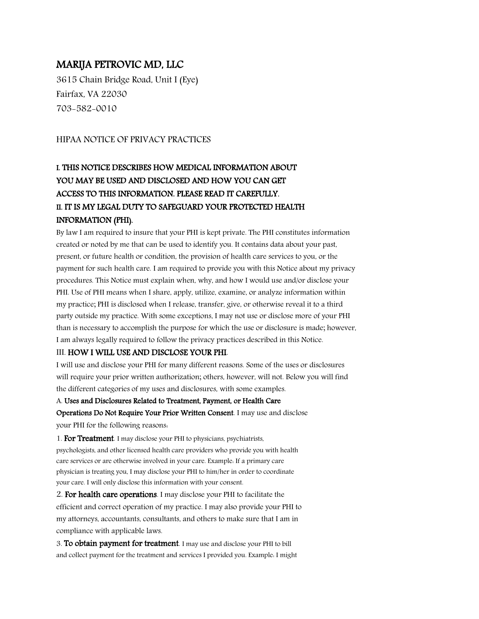### MARIJA PETROVIC MD, LLC

3615 Chain Bridge Road, Unit I (Eye) Fairfax, VA 22030 703-582-0010

### HIPAA NOTICE OF PRIVACY PRACTICES

# I. THIS NOTICE DESCRIBES HOW MEDICAL INFORMATION ABOUT YOU MAY BE USED AND DISCLOSED AND HOW YOU CAN GET ACCESS TO THIS INFORMATION. PLEASE READ IT CAREFULLY. II. IT IS MY LEGAL DUTY TO SAFEGUARD YOUR PROTECTED HEALTH INFORMATION (PHI).

By law I am required to insure that your PHI is kept private. The PHI constitutes information created or noted by me that can be used to identify you. It contains data about your past, present, or future health or condition, the provision of health care services to you, or the payment for such health care. I am required to provide you with this Notice about my privacy procedures. This Notice must explain when, why, and how I would use and/or disclose your PHI. Use of PHI means when I share, apply, utilize, examine, or analyze information within my practice; PHI is disclosed when I release, transfer, give, or otherwise reveal it to a third party outside my practice. With some exceptions, I may not use or disclose more of your PHI than is necessary to accomplish the purpose for which the use or disclosure is made; however, I am always legally required to follow the privacy practices described in this Notice.

#### III. HOW I WILL USE AND DISCLOSE YOUR PHI.

I will use and disclose your PHI for many different reasons. Some of the uses or disclosures will require your prior written authorization; others, however, will not. Below you will find the different categories of my uses and disclosures, with some examples.

#### A. Uses and Disclosures Related to Treatment, Payment, or Health Care

Operations Do Not Require Your Prior Written Consent. I may use and disclose your PHI for the following reasons:

1. For Treatment. I may disclose your PHI to physicians, psychiatrists, psychologists, and other licensed health care providers who provide you with health care services or are otherwise involved in your care. Example: If a primary care physician is treating you, I may disclose your PHI to him/her in order to coordinate your care. I will only disclose this information with your consent.

2. For health care operations. I may disclose your PHI to facilitate the efficient and correct operation of my practice. I may also provide your PHI to my attorneys, accountants, consultants, and others to make sure that I am in compliance with applicable laws.

3. To obtain payment for treatment. I may use and disclose your PHI to bill and collect payment for the treatment and services I provided you. Example: I might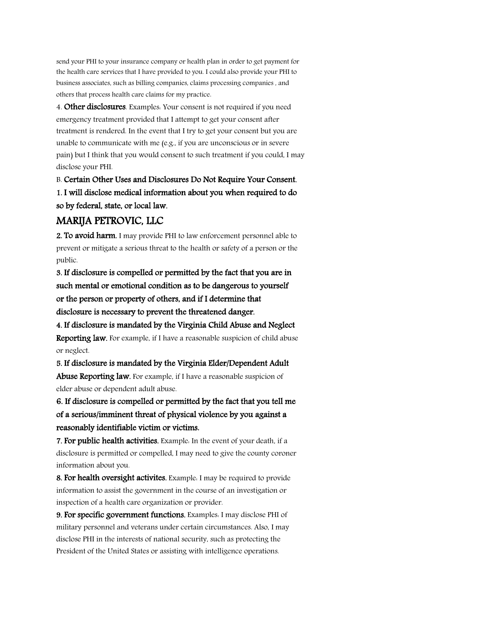send your PHI to your insurance company or health plan in order to get payment for the health care services that I have provided to you. I could also provide your PHI to business associates, such as billing companies, claims processing companies , and others that process health care claims for my practice.

4. Other disclosures. Examples: Your consent is not required if you need emergency treatment provided that I attempt to get your consent after treatment is rendered. In the event that I try to get your consent but you are unable to communicate with me (e.g., if you are unconscious or in severe pain) but I think that you would consent to such treatment if you could, I may disclose your PHI.

B. Certain Other Uses and Disclosures Do Not Require Your Consent. 1. I will disclose medical information about you when required to do so by federal, state, or local law.

## MARIJA PETROVIC, LLC

2. To avoid harm. I may provide PHI to law enforcement personnel able to prevent or mitigate a serious threat to the health or safety of a person or the public.

3. If disclosure is compelled or permitted by the fact that you are in such mental or emotional condition as to be dangerous to yourself or the person or property of others, and if I determine that disclosure is necessary to prevent the threatened danger.

4. If disclosure is mandated by the Virginia Child Abuse and Neglect Reporting law. For example, if I have a reasonable suspicion of child abuse or neglect.

5. If disclosure is mandated by the Virginia Elder/Dependent Adult Abuse Reporting law. For example, if I have a reasonable suspicion of elder abuse or dependent adult abuse.

6. If disclosure is compelled or permitted by the fact that you tell me of a serious/imminent threat of physical violence by you against a reasonably identifiable victim or victims.

7. For public health activities. Example. In the event of your death, if a disclosure is permitted or compelled, I may need to give the county coroner information about you.

8. For health oversight activites. Example: I may be required to provide information to assist the government in the course of an investigation or inspection of a health care organization or provider.

9. For specific government functions. Examples: I may disclose PHI of military personnel and veterans under certain circumstances. Also, I may disclose PHI in the interests of national security, such as protecting the President of the United States or assisting with intelligence operations.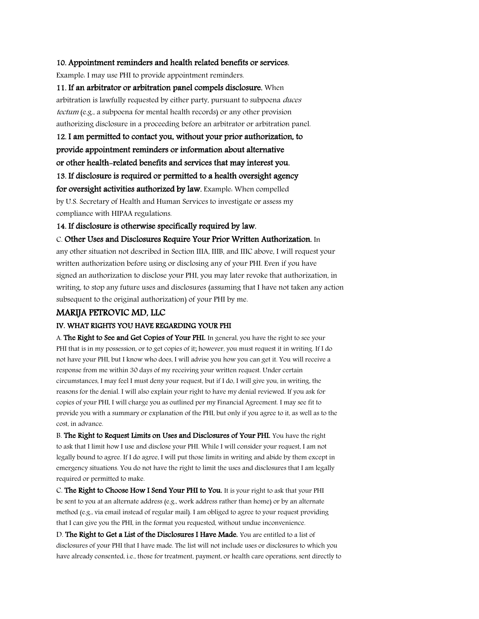#### 10. Appointment reminders and health related benefits or services.

Example: I may use PHI to provide appointment reminders.

11. If an arbitrator or arbitration panel compels disclosure. When arbitration is lawfully requested by either party, pursuant to subpoena duces tectum (e.g., a subpoena for mental health records) or any other provision authorizing disclosure in a proceeding before an arbitrator or arbitration panel.

12. I am permitted to contact you, without your prior authorization, to provide appointment reminders or information about alternative or other health-related benefits and services that may interest you.

13. If disclosure is required or permitted to a health oversight agency

for oversight activities authorized by law. Example: When compelled by U.S. Secretary of Health and Human Services to investigate or assess my compliance with HIPAA regulations.

14. If disclosure is otherwise specifically required by law.

C. Other Uses and Disclosures Require Your Prior Written Authorization. In

any other situation not described in Section IIIA, IIIB, and IIIC above, I will request your written authorization before using or disclosing any of your PHI. Even if you have signed an authorization to disclose your PHI, you may later revoke that authorization, in writing, to stop any future uses and disclosures (assuming that I have not taken any action subsequent to the original authorization) of your PHI by me.

#### MARIJA PETROVIC MD, LLC

#### IV. WHAT RIGHTS YOU HAVE REGARDING YOUR PHI

A. The Right to See and Get Copies of Your PHI. In general, you have the right to see your PHI that is in my possession, or to get copies of it; however, you must request it in writing. If I do not have your PHI, but I know who does, I will advise you how you can get it. You will receive a response from me within 30 days of my receiving your written request. Under certain circumstances, I may feel I must deny your request, but if I do, I will give you, in writing, the reasons for the denial. I will also explain your right to have my denial reviewed. If you ask for copies of your PHI, I will charge you as outlined per my Financial Agreement. I may see fit to provide you with a summary or explanation of the PHI, but only if you agree to it, as well as to the cost, in advance.

B. The Right to Request Limits on Uses and Disclosures of Your PHI. You have the right to ask that I limit how I use and disclose your PHI. While I will consider your request, I am not legally bound to agree. If I do agree, I will put those limits in writing and abide by them except in emergency situations. You do not have the right to limit the uses and disclosures that I am legally required or permitted to make.

C. The Right to Choose How I Send Your PHI to You. It is your right to ask that your PHI be sent to you at an alternate address (e.g., work address rather than home) or by an alternate method (e.g., via email instead of regular mail). I am obliged to agree to your request providing that I can give you the PHI, in the format you requested, without undue inconvenience.

D. The Right to Get a List of the Disclosures I Have Made. You are entitled to a list of disclosures of your PHI that I have made. The list will not include uses or disclosures to which you have already consented, i.e., those for treatment, payment, or health care operations, sent directly to